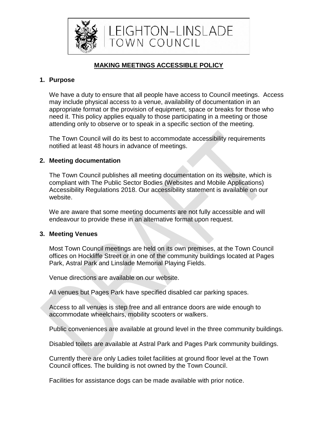

# **MAKING MEETINGS ACCESSIBLE POLICY**

# **1. Purpose**

We have a duty to ensure that all people have access to Council meetings. Access may include physical access to a venue, availability of documentation in an appropriate format or the provision of equipment, space or breaks for those who need it. This policy applies equally to those participating in a meeting or those attending only to observe or to speak in a specific section of the meeting.

The Town Council will do its best to accommodate accessibility requirements notified at least 48 hours in advance of meetings.

## **2. Meeting documentation**

The Town Council publishes all meeting documentation on its website, which is compliant with The Public Sector Bodies (Websites and Mobile Applications) Accessibility Regulations 2018. Our accessibility statement is available on our website.

We are aware that some meeting documents are not fully accessible and will endeavour to provide these in an alternative format upon request.

## **3. Meeting Venues**

Most Town Council meetings are held on its own premises, at the Town Council offices on Hockliffe Street or in one of the community buildings located at Pages Park, Astral Park and Linslade Memorial Playing Fields.

Venue directions are available on our website.

All venues but Pages Park have specified disabled car parking spaces.

Access to all venues is step free and all entrance doors are wide enough to accommodate wheelchairs, mobility scooters or walkers.

Public conveniences are available at ground level in the three community buildings.

Disabled toilets are available at Astral Park and Pages Park community buildings.

Currently there are only Ladies toilet facilities at ground floor level at the Town Council offices. The building is not owned by the Town Council.

Facilities for assistance dogs can be made available with prior notice.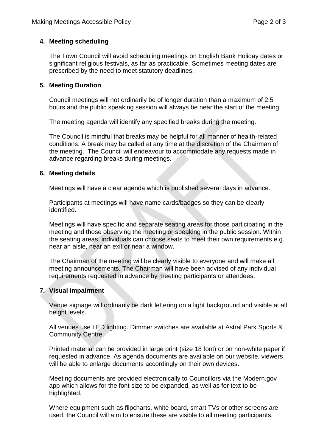## **4. Meeting scheduling**

The Town Council will avoid scheduling meetings on English Bank Holiday dates or significant religious festivals, as far as practicable. Sometimes meeting dates are prescribed by the need to meet statutory deadlines.

### **5. Meeting Duration**

Council meetings will not ordinarily be of longer duration than a maximum of 2.5 hours and the public speaking session will always be near the start of the meeting.

The meeting agenda will identify any specified breaks during the meeting.

The Council is mindful that breaks may be helpful for all manner of health-related conditions. A break may be called at any time at the discretion of the Chairman of the meeting. The Council will endeavour to accommodate any requests made in advance regarding breaks during meetings.

### **6. Meeting details**

Meetings will have a clear agenda which is published several days in advance.

Participants at meetings will have name cards/badges so they can be clearly identified.

Meetings will have specific and separate seating areas for those participating in the meeting and those observing the meeting or speaking in the public session. Within the seating areas, individuals can choose seats to meet their own requirements e.g. near an aisle, near an exit or near a window.

The Chairman of the meeting will be clearly visible to everyone and will make all meeting announcements. The Chairman will have been advised of any individual requirements requested in advance by meeting participants or attendees.

## **7. Visual impairment**

Venue signage will ordinarily be dark lettering on a light background and visible at all height levels.

All venues use LED lighting. Dimmer switches are available at Astral Park Sports & Community Centre.

Printed material can be provided in large print (size 18 font) or on non-white paper if requested in advance. As agenda documents are available on our website, viewers will be able to enlarge documents accordingly on their own devices.

Meeting documents are provided electronically to Councillors via the Modern.gov app which allows for the font size to be expanded, as well as for text to be highlighted.

Where equipment such as flipcharts, white board, smart TVs or other screens are used, the Council will aim to ensure these are visible to all meeting participants.